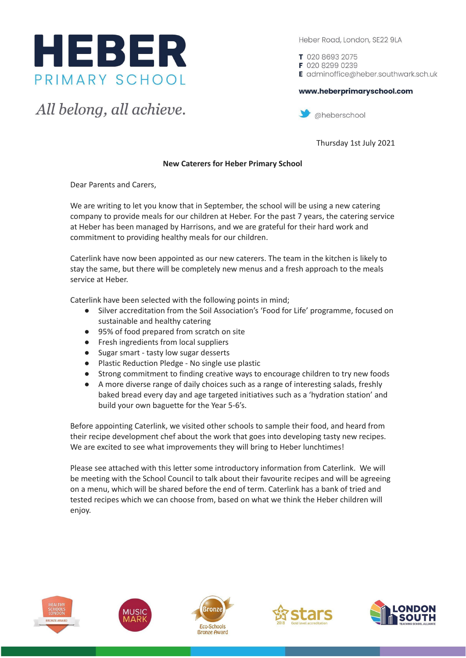

All belong, all achieve.

Heber Road, London, SE22 9LA

T 020 8693 2075 F 020 8299 0239 E adminoffice@heber.southwark.sch.uk

## www.heberprimaryschool.com



Thursday 1st July 2021

## **New Caterers for Heber Primary School**

Dear Parents and Carers,

We are writing to let you know that in September, the school will be using a new catering company to provide meals for our children at Heber. For the past 7 years, the catering service at Heber has been managed by Harrisons, and we are grateful for their hard work and commitment to providing healthy meals for our children.

Caterlink have now been appointed as our new caterers. The team in the kitchen is likely to stay the same, but there will be completely new menus and a fresh approach to the meals service at Heber.

Caterlink have been selected with the following points in mind;

- Silver accreditation from the Soil Association's 'Food for Life' programme, focused on sustainable and healthy catering
- 95% of food prepared from scratch on site
- Fresh ingredients from local suppliers
- Sugar smart tasty low sugar desserts
- Plastic Reduction Pledge No single use plastic
- Strong commitment to finding creative ways to encourage children to try new foods
- A more diverse range of daily choices such as a range of interesting salads, freshly baked bread every day and age targeted initiatives such as a 'hydration station' and build your own baguette for the Year 5-6's.

Before appointing Caterlink, we visited other schools to sample their food, and heard from their recipe development chef about the work that goes into developing tasty new recipes. We are excited to see what improvements they will bring to Heber lunchtimes!

Please see attached with this letter some introductory information from Caterlink. We will be meeting with the School Council to talk about their favourite recipes and will be agreeing on a menu, which will be shared before the end of term. Caterlink has a bank of tried and tested recipes which we can choose from, based on what we think the Heber children will enjoy.